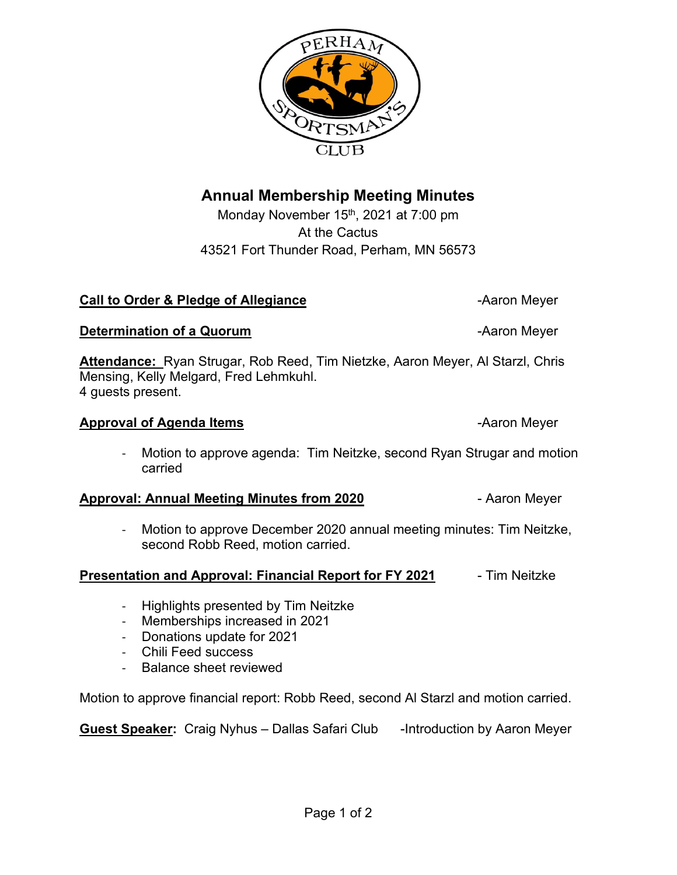# **Annual Membership Meeting Minutes**

Monday November 15<sup>th</sup>, 2021 at 7:00 pm At the Cactus 43521 Fort Thunder Road, Perham, MN 56573

#### **Call to Order & Pledge of Allegiance Call to Order & Pledge of Allegiance A**

**Attendance:** Ryan Strugar, Rob Reed, Tim Nietzke, Aaron Meyer, Al Starzl, Chris Mensing, Kelly Melgard, Fred Lehmkuhl. 4 guests present.

# **Approval of Agenda Items** and the second of the Aaron Meyer

- Motion to approve agenda: Tim Neitzke, second Ryan Strugar and motion carried

# **Approval: Annual Meeting Minutes from 2020** - Aaron Meyer

- Motion to approve December 2020 annual meeting minutes: Tim Neitzke, second Robb Reed, motion carried.

## **Presentation and Approval: Financial Report for FY 2021** - Tim Neitzke

- Highlights presented by Tim Neitzke
- Memberships increased in 2021
- Donations update for 2021
- Chili Feed success
- Balance sheet reviewed

Motion to approve financial report: Robb Reed, second Al Starzl and motion carried.

**Guest Speaker:** Craig Nyhus – Dallas Safari Club - Introduction by Aaron Meyer

**Determination of a Quorum Contract Contract Contract Contract Contract Contract Contract Contract Contract Contract Contract Contract Contract Contract Contract Contract Contract Contract Contract Contract Contract Cont**